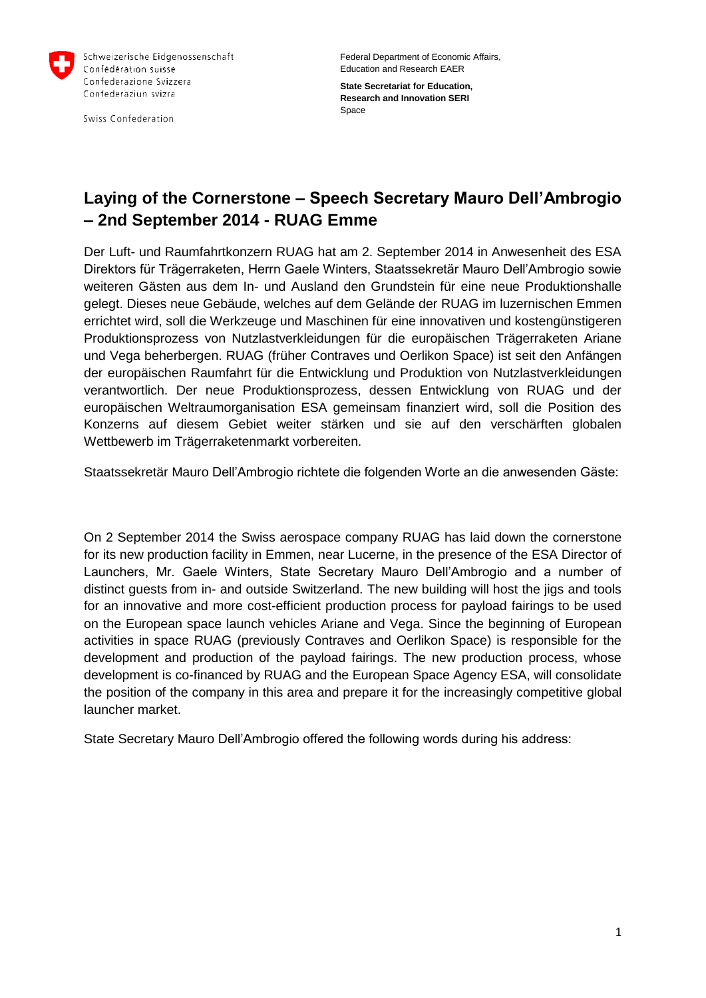

Schweizerische Eidgenossenschaft Confédération suisse Confederazione Svizzera Confederaziun svizra

Swiss Confederation

Federal Department of Economic Affairs, Education and Research EAER

**State Secretariat for Education, Research and Innovation SERI** Space

## **Laying of the Cornerstone – Speech Secretary Mauro Dell'Ambrogio – 2nd September 2014 - RUAG Emme**

Der Luft- und Raumfahrtkonzern RUAG hat am 2. September 2014 in Anwesenheit des ESA Direktors für Trägerraketen, Herrn Gaele Winters, Staatssekretär Mauro Dell'Ambrogio sowie weiteren Gästen aus dem In- und Ausland den Grundstein für eine neue Produktionshalle gelegt. Dieses neue Gebäude, welches auf dem Gelände der RUAG im luzernischen Emmen errichtet wird, soll die Werkzeuge und Maschinen für eine innovativen und kostengünstigeren Produktionsprozess von Nutzlastverkleidungen für die europäischen Trägerraketen Ariane und Vega beherbergen. RUAG (früher Contraves und Oerlikon Space) ist seit den Anfängen der europäischen Raumfahrt für die Entwicklung und Produktion von Nutzlastverkleidungen verantwortlich. Der neue Produktionsprozess, dessen Entwicklung von RUAG und der europäischen Weltraumorganisation ESA gemeinsam finanziert wird, soll die Position des Konzerns auf diesem Gebiet weiter stärken und sie auf den verschärften globalen Wettbewerb im Trägerraketenmarkt vorbereiten.

Staatssekretär Mauro Dell'Ambrogio richtete die folgenden Worte an die anwesenden Gäste:

On 2 September 2014 the Swiss aerospace company RUAG has laid down the cornerstone for its new production facility in Emmen, near Lucerne, in the presence of the ESA Director of Launchers, Mr. Gaele Winters, State Secretary Mauro Dell'Ambrogio and a number of distinct guests from in- and outside Switzerland. The new building will host the jigs and tools for an innovative and more cost-efficient production process for payload fairings to be used on the European space launch vehicles Ariane and Vega. Since the beginning of European activities in space RUAG (previously Contraves and Oerlikon Space) is responsible for the development and production of the payload fairings. The new production process, whose development is co-financed by RUAG and the European Space Agency ESA, will consolidate the position of the company in this area and prepare it for the increasingly competitive global launcher market.

State Secretary Mauro Dell'Ambrogio offered the following words during his address: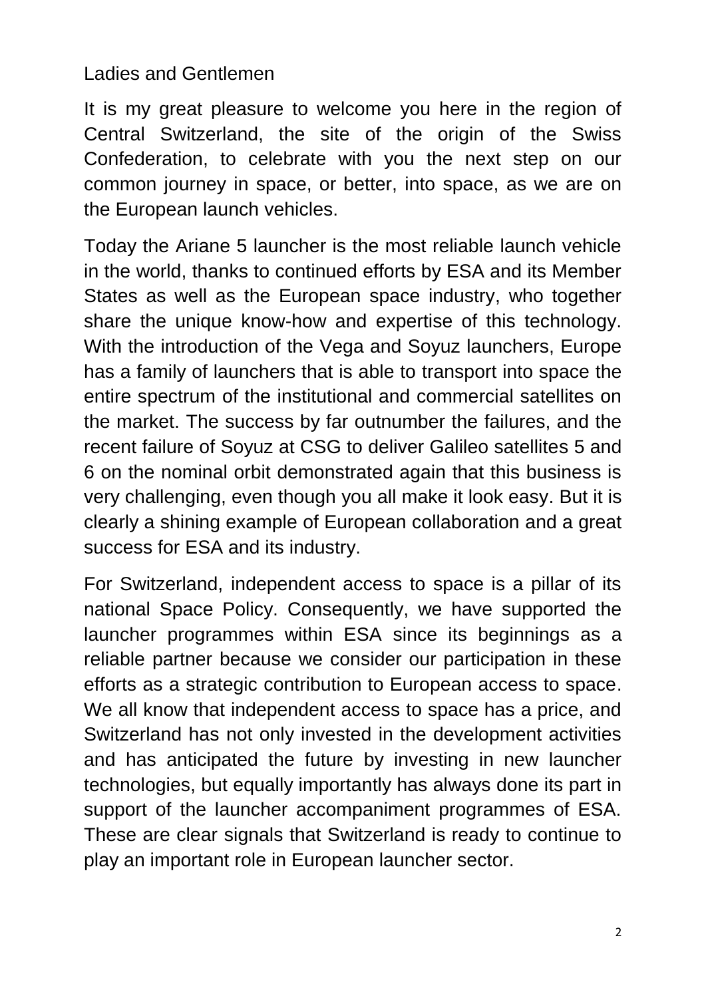## Ladies and Gentlemen

It is my great pleasure to welcome you here in the region of Central Switzerland, the site of the origin of the Swiss Confederation, to celebrate with you the next step on our common journey in space, or better, into space, as we are on the European launch vehicles.

Today the Ariane 5 launcher is the most reliable launch vehicle in the world, thanks to continued efforts by ESA and its Member States as well as the European space industry, who together share the unique know-how and expertise of this technology. With the introduction of the Vega and Soyuz launchers, Europe has a family of launchers that is able to transport into space the entire spectrum of the institutional and commercial satellites on the market. The success by far outnumber the failures, and the recent failure of Soyuz at CSG to deliver Galileo satellites 5 and 6 on the nominal orbit demonstrated again that this business is very challenging, even though you all make it look easy. But it is clearly a shining example of European collaboration and a great success for ESA and its industry.

For Switzerland, independent access to space is a pillar of its national Space Policy. Consequently, we have supported the launcher programmes within ESA since its beginnings as a reliable partner because we consider our participation in these efforts as a strategic contribution to European access to space. We all know that independent access to space has a price, and Switzerland has not only invested in the development activities and has anticipated the future by investing in new launcher technologies, but equally importantly has always done its part in support of the launcher accompaniment programmes of ESA. These are clear signals that Switzerland is ready to continue to play an important role in European launcher sector.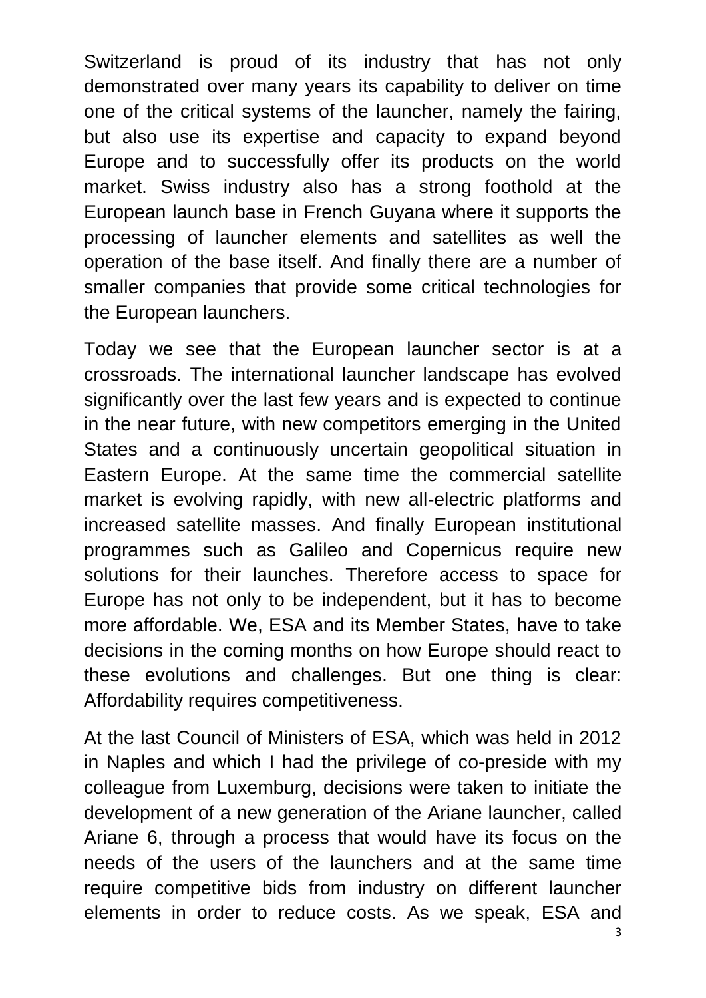Switzerland is proud of its industry that has not only demonstrated over many years its capability to deliver on time one of the critical systems of the launcher, namely the fairing, but also use its expertise and capacity to expand beyond Europe and to successfully offer its products on the world market. Swiss industry also has a strong foothold at the European launch base in French Guyana where it supports the processing of launcher elements and satellites as well the operation of the base itself. And finally there are a number of smaller companies that provide some critical technologies for the European launchers.

Today we see that the European launcher sector is at a crossroads. The international launcher landscape has evolved significantly over the last few years and is expected to continue in the near future, with new competitors emerging in the United States and a continuously uncertain geopolitical situation in Eastern Europe. At the same time the commercial satellite market is evolving rapidly, with new all-electric platforms and increased satellite masses. And finally European institutional programmes such as Galileo and Copernicus require new solutions for their launches. Therefore access to space for Europe has not only to be independent, but it has to become more affordable. We, ESA and its Member States, have to take decisions in the coming months on how Europe should react to these evolutions and challenges. But one thing is clear: Affordability requires competitiveness.

At the last Council of Ministers of ESA, which was held in 2012 in Naples and which I had the privilege of co-preside with my colleague from Luxemburg, decisions were taken to initiate the development of a new generation of the Ariane launcher, called Ariane 6, through a process that would have its focus on the needs of the users of the launchers and at the same time require competitive bids from industry on different launcher elements in order to reduce costs. As we speak, ESA and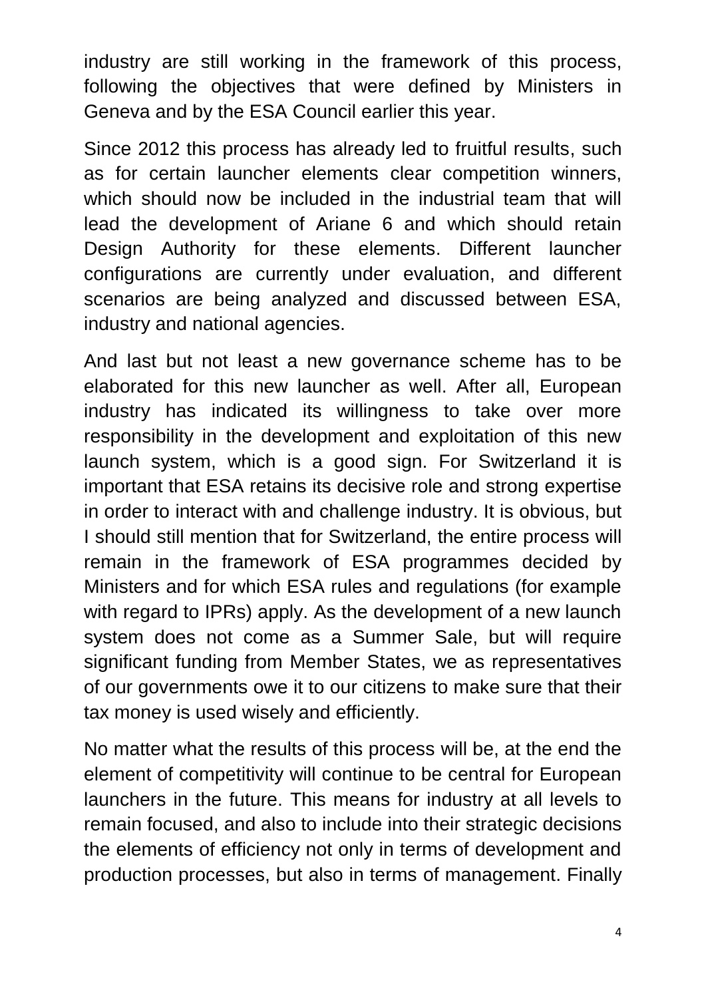industry are still working in the framework of this process, following the objectives that were defined by Ministers in Geneva and by the ESA Council earlier this year.

Since 2012 this process has already led to fruitful results, such as for certain launcher elements clear competition winners, which should now be included in the industrial team that will lead the development of Ariane 6 and which should retain Design Authority for these elements. Different launcher configurations are currently under evaluation, and different scenarios are being analyzed and discussed between ESA, industry and national agencies.

And last but not least a new governance scheme has to be elaborated for this new launcher as well. After all, European industry has indicated its willingness to take over more responsibility in the development and exploitation of this new launch system, which is a good sign. For Switzerland it is important that ESA retains its decisive role and strong expertise in order to interact with and challenge industry. It is obvious, but I should still mention that for Switzerland, the entire process will remain in the framework of ESA programmes decided by Ministers and for which ESA rules and regulations (for example with regard to IPRs) apply. As the development of a new launch system does not come as a Summer Sale, but will require significant funding from Member States, we as representatives of our governments owe it to our citizens to make sure that their tax money is used wisely and efficiently.

No matter what the results of this process will be, at the end the element of competitivity will continue to be central for European launchers in the future. This means for industry at all levels to remain focused, and also to include into their strategic decisions the elements of efficiency not only in terms of development and production processes, but also in terms of management. Finally